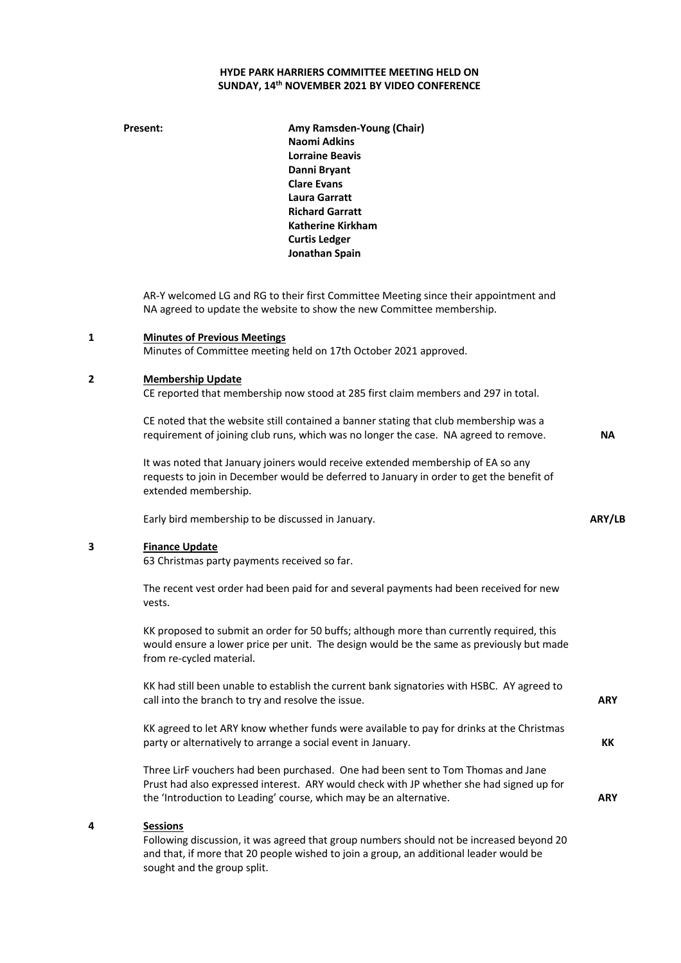## **HYDE PARK HARRIERS COMMITTEE MEETING HELD ON SUNDAY, 14th NOVEMBER 2021 BY VIDEO CONFERENCE**

**Present: Amy Ramsden-Young (Chair) Naomi Adkins Lorraine Beavis Danni Bryant Clare Evans Laura Garratt Richard Garratt Katherine Kirkham Curtis Ledger Jonathan Spain**

AR-Y welcomed LG and RG to their first Committee Meeting since their appointment and NA agreed to update the website to show the new Committee membership.

#### **1 Minutes of Previous Meetings**

Minutes of Committee meeting held on 17th October 2021 approved.

#### **2 Membership Update**

CE reported that membership now stood at 285 first claim members and 297 in total.

CE noted that the website still contained a banner stating that club membership was a requirement of joining club runs, which was no longer the case. NA agreed to remove.

It was noted that January joiners would receive extended membership of EA so any requests to join in December would be deferred to January in order to get the benefit of extended membership.

Early bird membership to be discussed in January.

## **3 Finance Update**

63 Christmas party payments received so far.

The recent vest order had been paid for and several payments had been received for new vests.

KK proposed to submit an order for 50 buffs; although more than currently required, this would ensure a lower price per unit. The design would be the same as previously but made from re-cycled material.

KK had still been unable to establish the current bank signatories with HSBC. AY agreed to call into the branch to try and resolve the issue.

KK agreed to let ARY know whether funds were available to pay for drinks at the Christmas party or alternatively to arrange a social event in January.

Three LirF vouchers had been purchased. One had been sent to Tom Thomas and Jane Prust had also expressed interest. ARY would check with JP whether she had signed up for the 'Introduction to Leading' course, which may be an alternative.

### **4 Sessions**

Following discussion, it was agreed that group numbers should not be increased beyond 20 and that, if more that 20 people wished to join a group, an additional leader would be sought and the group split.

**NA**

**ARY**

**KK**

**ARY**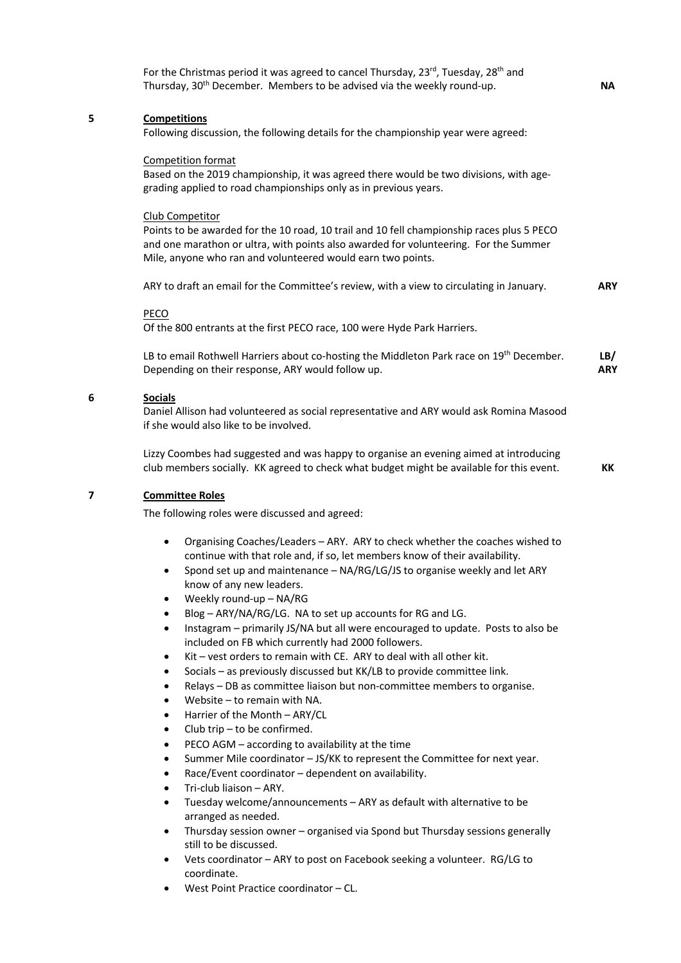|   | For the Christmas period it was agreed to cancel Thursday, 23rd, Tuesday, 28 <sup>th</sup> and<br>Thursday, 30 <sup>th</sup> December. Members to be advised via the weekly round-up.                                                                                                                                                                                                                                                                                                                                                                     | <b>NA</b>         |
|---|-----------------------------------------------------------------------------------------------------------------------------------------------------------------------------------------------------------------------------------------------------------------------------------------------------------------------------------------------------------------------------------------------------------------------------------------------------------------------------------------------------------------------------------------------------------|-------------------|
| 5 | <b>Competitions</b><br>Following discussion, the following details for the championship year were agreed:                                                                                                                                                                                                                                                                                                                                                                                                                                                 |                   |
|   | Competition format<br>Based on the 2019 championship, it was agreed there would be two divisions, with age-<br>grading applied to road championships only as in previous years.                                                                                                                                                                                                                                                                                                                                                                           |                   |
|   | Club Competitor<br>Points to be awarded for the 10 road, 10 trail and 10 fell championship races plus 5 PECO<br>and one marathon or ultra, with points also awarded for volunteering. For the Summer<br>Mile, anyone who ran and volunteered would earn two points.                                                                                                                                                                                                                                                                                       |                   |
|   | ARY to draft an email for the Committee's review, with a view to circulating in January.                                                                                                                                                                                                                                                                                                                                                                                                                                                                  | <b>ARY</b>        |
|   | PECO<br>Of the 800 entrants at the first PECO race, 100 were Hyde Park Harriers.                                                                                                                                                                                                                                                                                                                                                                                                                                                                          |                   |
|   | LB to email Rothwell Harriers about co-hosting the Middleton Park race on 19 <sup>th</sup> December.<br>Depending on their response, ARY would follow up.                                                                                                                                                                                                                                                                                                                                                                                                 | LB/<br><b>ARY</b> |
| 6 | <b>Socials</b><br>Daniel Allison had volunteered as social representative and ARY would ask Romina Masood<br>if she would also like to be involved.                                                                                                                                                                                                                                                                                                                                                                                                       |                   |
|   | Lizzy Coombes had suggested and was happy to organise an evening aimed at introducing<br>club members socially. KK agreed to check what budget might be available for this event.                                                                                                                                                                                                                                                                                                                                                                         | KK                |
| 7 | <b>Committee Roles</b>                                                                                                                                                                                                                                                                                                                                                                                                                                                                                                                                    |                   |
|   | The following roles were discussed and agreed:                                                                                                                                                                                                                                                                                                                                                                                                                                                                                                            |                   |
|   | Organising Coaches/Leaders - ARY. ARY to check whether the coaches wished to<br>$\bullet$<br>continue with that role and, if so, let members know of their availability.<br>Spond set up and maintenance - NA/RG/LG/JS to organise weekly and let ARY<br>know of any new leaders.<br>Weekly round-up - NA/RG<br>$\bullet$<br>Blog - ARY/NA/RG/LG. NA to set up accounts for RG and LG.<br>$\bullet$<br>Instagram - primarily JS/NA but all were encouraged to update. Posts to also be<br>$\bullet$<br>included on FB which currently had 2000 followers. |                   |
|   | Kit - vest orders to remain with CE. ARY to deal with all other kit.<br>$\bullet$<br>Socials - as previously discussed but KK/LB to provide committee link.<br>$\bullet$<br>Relays - DB as committee liaison but non-committee members to organise.<br>$\bullet$<br>Website - to remain with NA.<br>$\bullet$                                                                                                                                                                                                                                             |                   |
|   | Harrier of the Month - ARY/CL<br>$\bullet$<br>Club trip - to be confirmed.<br>$\bullet$<br>PECO AGM - according to availability at the time<br>$\bullet$                                                                                                                                                                                                                                                                                                                                                                                                  |                   |
|   | Summer Mile coordinator - JS/KK to represent the Committee for next year.<br>$\bullet$<br>Race/Event coordinator - dependent on availability.<br>$\bullet$<br>Tri-club liaison - ARY.<br>$\bullet$                                                                                                                                                                                                                                                                                                                                                        |                   |
|   | Tuesday welcome/announcements - ARY as default with alternative to be<br>$\bullet$<br>arranged as needed.                                                                                                                                                                                                                                                                                                                                                                                                                                                 |                   |
|   | Thursday session owner - organised via Spond but Thursday sessions generally<br>$\bullet$<br>still to be discussed.<br>Vets coordinator - ARY to post on Facebook seeking a volunteer. RG/LG to<br>$\bullet$                                                                                                                                                                                                                                                                                                                                              |                   |
|   |                                                                                                                                                                                                                                                                                                                                                                                                                                                                                                                                                           |                   |